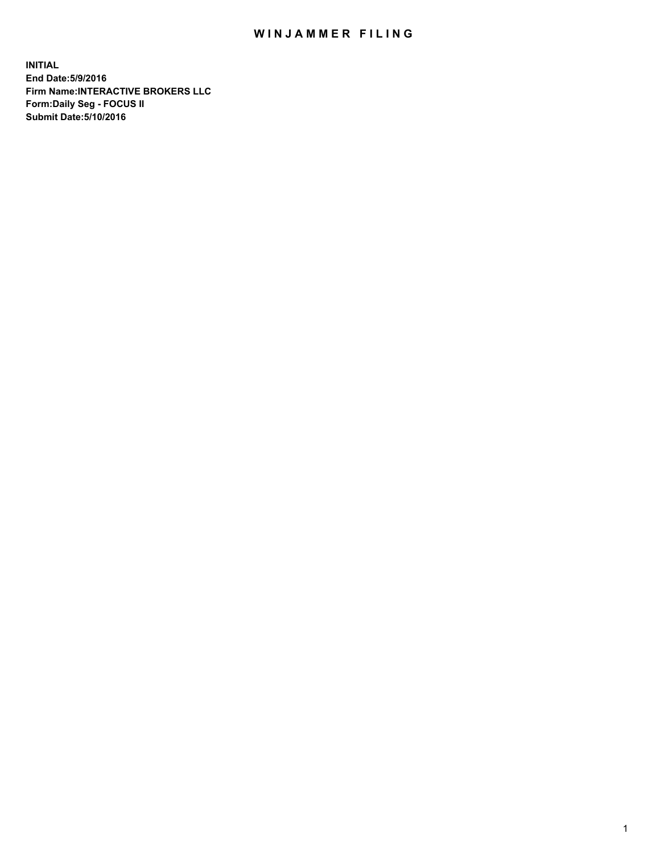## WIN JAMMER FILING

**INITIAL End Date:5/9/2016 Firm Name:INTERACTIVE BROKERS LLC Form:Daily Seg - FOCUS II Submit Date:5/10/2016**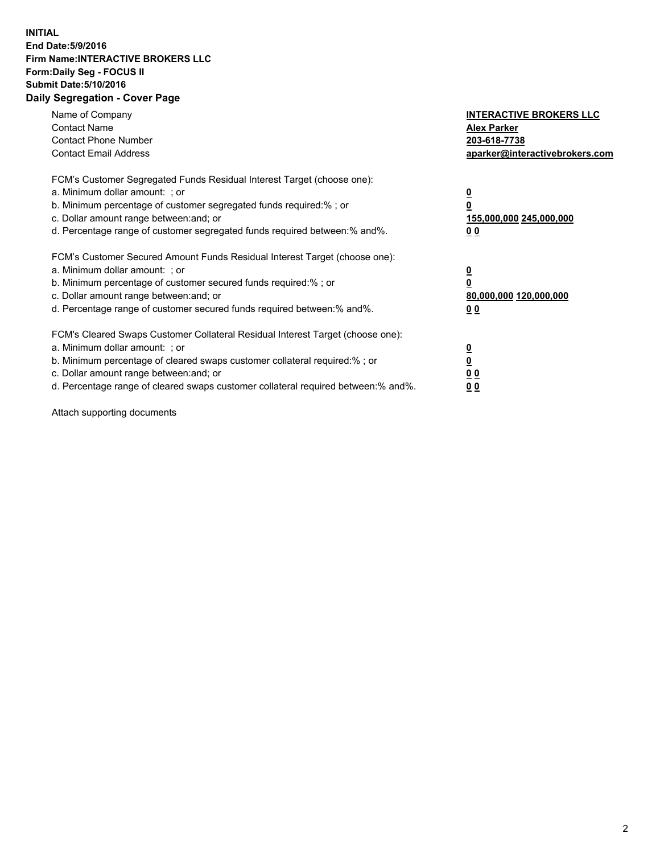## **INITIAL End Date:5/9/2016 Firm Name:INTERACTIVE BROKERS LLC Form:Daily Seg - FOCUS II Submit Date:5/10/2016 Daily Segregation - Cover Page**

| Name of Company<br><b>Contact Name</b><br><b>Contact Phone Number</b><br><b>Contact Email Address</b>                                                                                                                                                                                                                          | <b>INTERACTIVE BROKERS LLC</b><br><b>Alex Parker</b><br>203-618-7738<br>aparker@interactivebrokers.com |
|--------------------------------------------------------------------------------------------------------------------------------------------------------------------------------------------------------------------------------------------------------------------------------------------------------------------------------|--------------------------------------------------------------------------------------------------------|
| FCM's Customer Segregated Funds Residual Interest Target (choose one):<br>a. Minimum dollar amount: ; or<br>b. Minimum percentage of customer segregated funds required:%; or<br>c. Dollar amount range between: and; or<br>d. Percentage range of customer segregated funds required between:% and%.                          | <u>0</u><br>155,000,000 245,000,000<br><u>00</u>                                                       |
| FCM's Customer Secured Amount Funds Residual Interest Target (choose one):<br>a. Minimum dollar amount: ; or<br>b. Minimum percentage of customer secured funds required:%; or<br>c. Dollar amount range between: and; or<br>d. Percentage range of customer secured funds required between:% and%.                            | <u>0</u><br>80,000,000 120,000,000<br>0 <sub>0</sub>                                                   |
| FCM's Cleared Swaps Customer Collateral Residual Interest Target (choose one):<br>a. Minimum dollar amount: ; or<br>b. Minimum percentage of cleared swaps customer collateral required:% ; or<br>c. Dollar amount range between: and; or<br>d. Percentage range of cleared swaps customer collateral required between:% and%. | ₫<br>0 <sub>0</sub><br>0 <sub>0</sub>                                                                  |

Attach supporting documents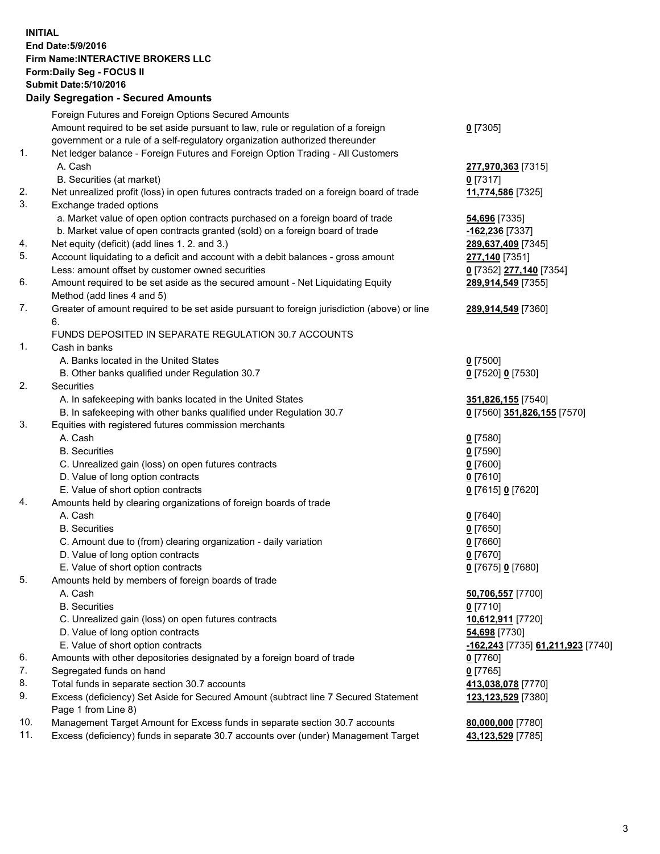## **INITIAL End Date:5/9/2016 Firm Name:INTERACTIVE BROKERS LLC Form:Daily Seg - FOCUS II Submit Date:5/10/2016 Daily Segregation - Secured Amounts**

|     | Foreign Futures and Foreign Options Secured Amounts                                         |                                          |
|-----|---------------------------------------------------------------------------------------------|------------------------------------------|
|     | Amount required to be set aside pursuant to law, rule or regulation of a foreign            | $Q$ [7305]                               |
|     | government or a rule of a self-regulatory organization authorized thereunder                |                                          |
| 1.  | Net ledger balance - Foreign Futures and Foreign Option Trading - All Customers             |                                          |
|     | A. Cash                                                                                     | 277,970,363 [7315]                       |
|     | B. Securities (at market)                                                                   | $0$ [7317]                               |
| 2.  | Net unrealized profit (loss) in open futures contracts traded on a foreign board of trade   | 11,774,586 [7325]                        |
| 3.  | Exchange traded options                                                                     |                                          |
|     | a. Market value of open option contracts purchased on a foreign board of trade              | 54,696 [7335]                            |
|     | b. Market value of open contracts granted (sold) on a foreign board of trade                | -162,236 [7337]                          |
| 4.  | Net equity (deficit) (add lines 1.2. and 3.)                                                | 289,637,409 [7345]                       |
| 5.  | Account liquidating to a deficit and account with a debit balances - gross amount           | 277,140 [7351]                           |
|     | Less: amount offset by customer owned securities                                            | 0 [7352] 277,140 [7354]                  |
| 6.  | Amount required to be set aside as the secured amount - Net Liquidating Equity              | 289,914,549 [7355]                       |
|     | Method (add lines 4 and 5)                                                                  |                                          |
| 7.  | Greater of amount required to be set aside pursuant to foreign jurisdiction (above) or line | 289,914,549 [7360]                       |
|     | 6.                                                                                          |                                          |
|     | FUNDS DEPOSITED IN SEPARATE REGULATION 30.7 ACCOUNTS                                        |                                          |
| 1.  | Cash in banks                                                                               |                                          |
|     | A. Banks located in the United States                                                       | $Q$ [7500]                               |
|     | B. Other banks qualified under Regulation 30.7                                              | 0 [7520] 0 [7530]                        |
| 2.  | Securities                                                                                  |                                          |
|     | A. In safekeeping with banks located in the United States                                   | 351,826,155 [7540]                       |
|     | B. In safekeeping with other banks qualified under Regulation 30.7                          | 0 [7560] 351,826,155 [7570]              |
| 3.  | Equities with registered futures commission merchants                                       |                                          |
|     | A. Cash                                                                                     | $0$ [7580]                               |
|     | <b>B.</b> Securities                                                                        | $0$ [7590]                               |
|     | C. Unrealized gain (loss) on open futures contracts                                         | $0$ [7600]                               |
|     | D. Value of long option contracts                                                           | $0$ [7610]                               |
|     | E. Value of short option contracts                                                          | 0 [7615] 0 [7620]                        |
| 4.  | Amounts held by clearing organizations of foreign boards of trade                           |                                          |
|     | A. Cash                                                                                     | $0$ [7640]                               |
|     | <b>B.</b> Securities                                                                        | $0$ [7650]                               |
|     | C. Amount due to (from) clearing organization - daily variation                             | $0$ [7660]                               |
|     | D. Value of long option contracts                                                           | $0$ [7670]                               |
|     | E. Value of short option contracts                                                          | 0 [7675] 0 [7680]                        |
| 5.  | Amounts held by members of foreign boards of trade                                          |                                          |
|     | A. Cash                                                                                     | 50,706,557 [7700]                        |
|     | <b>B.</b> Securities                                                                        | $0$ [7710]                               |
|     | C. Unrealized gain (loss) on open futures contracts                                         | 10,612,911 [7720]                        |
|     | D. Value of long option contracts                                                           | 54,698 [7730]                            |
|     | E. Value of short option contracts                                                          | <u>-162,243</u> [7735] 61,211,923 [7740] |
| 6.  | Amounts with other depositories designated by a foreign board of trade                      | $0$ [7760]                               |
| 7.  | Segregated funds on hand                                                                    | $0$ [7765]                               |
| 8.  | Total funds in separate section 30.7 accounts                                               | 413,038,078 [7770]                       |
| 9.  | Excess (deficiency) Set Aside for Secured Amount (subtract line 7 Secured Statement         | 123,123,529 [7380]                       |
|     | Page 1 from Line 8)                                                                         |                                          |
| 10. | Management Target Amount for Excess funds in separate section 30.7 accounts                 | 80,000,000 [7780]                        |
| 11. | Excess (deficiency) funds in separate 30.7 accounts over (under) Management Target          | 43,123,529 [7785]                        |
|     |                                                                                             |                                          |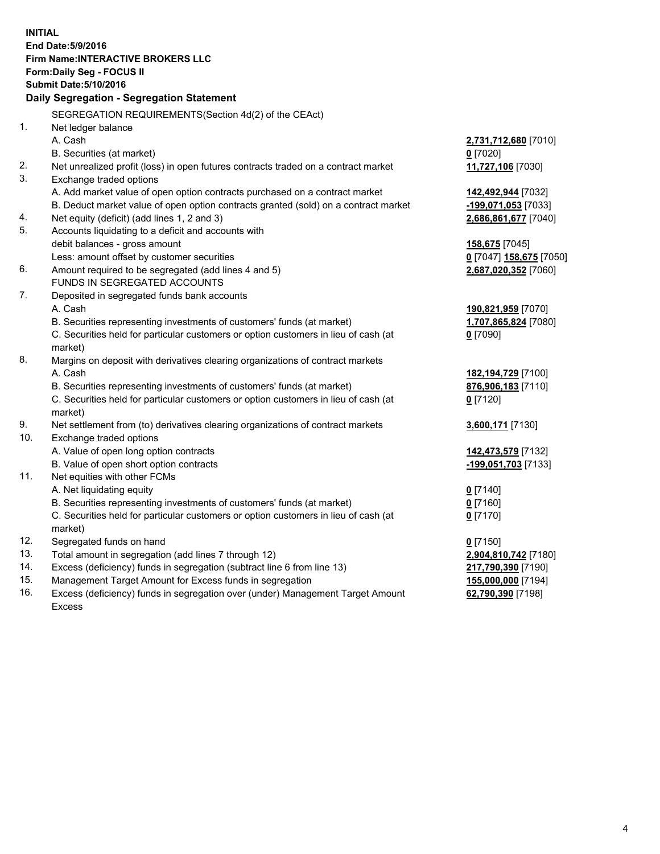**INITIAL End Date:5/9/2016 Firm Name:INTERACTIVE BROKERS LLC Form:Daily Seg - FOCUS II Submit Date:5/10/2016 Daily Segregation - Segregation Statement** SEGREGATION REQUIREMENTS(Section 4d(2) of the CEAct) 1. Net ledger balance A. Cash **2,731,712,680** [7010] B. Securities (at market) **0** [7020] 2. Net unrealized profit (loss) in open futures contracts traded on a contract market **11,727,106** [7030] 3. Exchange traded options A. Add market value of open option contracts purchased on a contract market **142,492,944** [7032] B. Deduct market value of open option contracts granted (sold) on a contract market **-199,071,053** [7033] 4. Net equity (deficit) (add lines 1, 2 and 3) **2,686,861,677** [7040] 5. Accounts liquidating to a deficit and accounts with debit balances - gross amount **158,675** [7045] Less: amount offset by customer securities **0** [7047] **158,675** [7050] 6. Amount required to be segregated (add lines 4 and 5) **2,687,020,352** [7060] FUNDS IN SEGREGATED ACCOUNTS 7. Deposited in segregated funds bank accounts A. Cash **190,821,959** [7070] B. Securities representing investments of customers' funds (at market) **1,707,865,824** [7080] C. Securities held for particular customers or option customers in lieu of cash (at market) **0** [7090] 8. Margins on deposit with derivatives clearing organizations of contract markets A. Cash **182,194,729** [7100] B. Securities representing investments of customers' funds (at market) **876,906,183** [7110] C. Securities held for particular customers or option customers in lieu of cash (at market) **0** [7120] 9. Net settlement from (to) derivatives clearing organizations of contract markets **3,600,171** [7130] 10. Exchange traded options A. Value of open long option contracts **142,473,579** [7132] B. Value of open short option contracts **-199,051,703** [7133] 11. Net equities with other FCMs A. Net liquidating equity **0** [7140] B. Securities representing investments of customers' funds (at market) **0** [7160] C. Securities held for particular customers or option customers in lieu of cash (at market) **0** [7170] 12. Segregated funds on hand **0** [7150] 13. Total amount in segregation (add lines 7 through 12) **2,904,810,742** [7180] 14. Excess (deficiency) funds in segregation (subtract line 6 from line 13) **217,790,390** [7190] 15. Management Target Amount for Excess funds in segregation **155,000,000** [7194] **62,790,390** [7198]

16. Excess (deficiency) funds in segregation over (under) Management Target Amount Excess